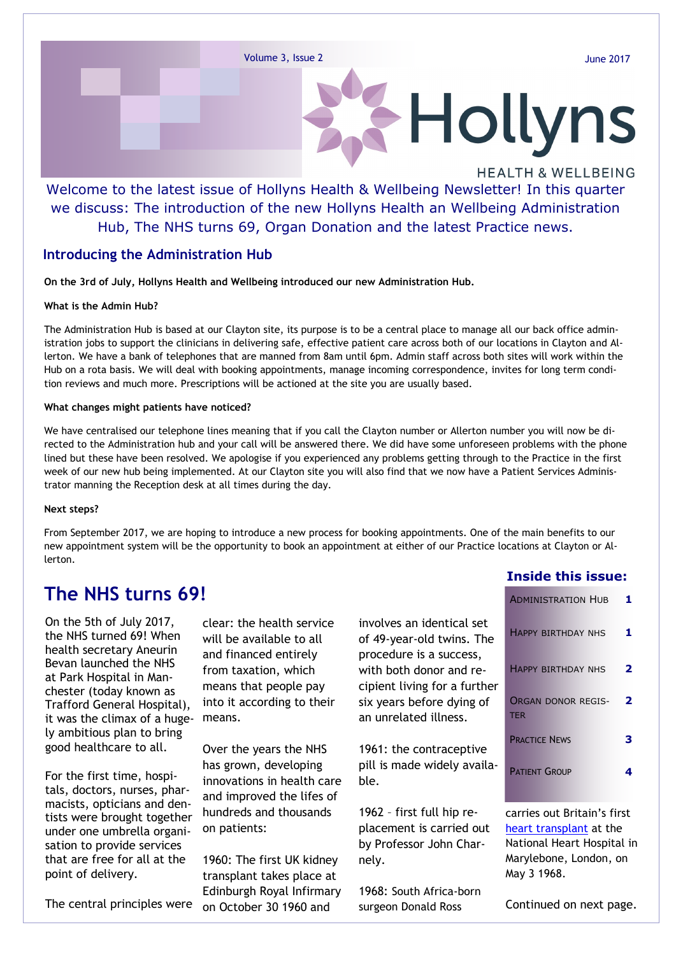



### Welcome to the latest issue of Hollyns Health & Wellbeing Newsletter! In this quarter we discuss: The introduction of the new Hollyns Health an Wellbeing Administration Hub, The NHS turns 69, Organ Donation and the latest Practice news.

### **Introducing the Administration Hub**

**On the 3rd of July, Hollyns Health and Wellbeing introduced our new Administration Hub.** 

#### **What is the Admin Hub?**

The Administration Hub is based at our Clayton site, its purpose is to be a central place to manage all our back office administration jobs to support the clinicians in delivering safe, effective patient care across both of our locations in Clayton and Allerton. We have a bank of telephones that are manned from 8am until 6pm. Admin staff across both sites will work within the Hub on a rota basis. We will deal with booking appointments, manage incoming correspondence, invites for long term condition reviews and much more. Prescriptions will be actioned at the site you are usually based.

#### **What changes might patients have noticed?**

We have centralised our telephone lines meaning that if you call the Clayton number or Allerton number you will now be directed to the Administration hub and your call will be answered there. We did have some unforeseen problems with the phone lined but these have been resolved. We apologise if you experienced any problems getting through to the Practice in the first week of our new hub being implemented. At our Clayton site you will also find that we now have a Patient Services Administrator manning the Reception desk at all times during the day.

#### **Next steps?**

From September 2017, we are hoping to introduce a new process for booking appointments. One of the main benefits to our new appointment system will be the opportunity to book an appointment at either of our Practice locations at Clayton or Allerton.

### **The NHS turns 69!**

On the 5th of July 2017, the NHS turned 69! When health secretary Aneurin Bevan launched the NHS at Park Hospital in Manchester (today known as Trafford General Hospital), it was the climax of a hugely ambitious plan to bring good healthcare to all.

For the first time, hospitals, doctors, nurses, pharmacists, opticians and dentists were brought together under one umbrella organisation to provide services that are free for all at the point of delivery.

clear: the health service will be available to all and financed entirely from taxation, which means that people pay into it according to their means.

Over the years the NHS has grown, developing innovations in health care and improved the lifes of hundreds and thousands on patients:

The [central principles](http://www.nhs.uk/NHSEngland/thenhs/about/Pages/nhscoreprinciples.aspx) were on October 30 1960 and 1960: The first UK kidney transplant takes place at Edinburgh Royal Infirmary involves an identical set of 49-year-old twins. The procedure is a success, with both donor and recipient living for a further six years before dying of an unrelated illness.

1961: the contraceptive pill is made widely available.

1962 – first full hip replacement is carried out by Professor John Charnely.

1968: South Africa-born surgeon Donald Ross

### **Inside this issue:**

| <b>ADMINISTRATION HUB</b>               | 1. |
|-----------------------------------------|----|
| <b>HAPPY BIRTHDAY NHS</b>               |    |
| <b>HAPPY BIRTHDAY NHS</b>               | 7  |
| <b>ORGAN DONOR REGIS-</b><br><b>TER</b> | 2  |
| <b>PRACTICE NEWS</b>                    |    |
| <b>PATIENT GROUP</b>                    |    |
|                                         |    |

carries out Britain's first [heart transplant](http://www.nhs.uk/conditions/heart-transplant/pages/introduction.aspx) at the National Heart Hospital in Marylebone, London, on May 3 1968.

Continued on next page.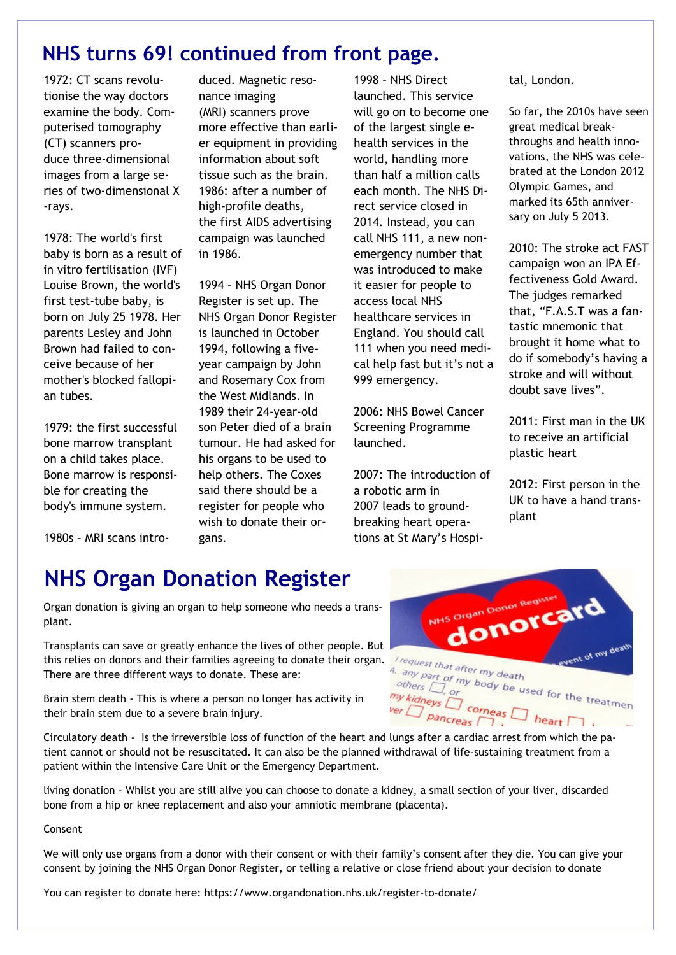## **NHS turns 69! continued from front page.**

1972: CT scans revolutionise the way doctors examine the body. Computerised tomography (CT) scanners produce three-dimensional images from a large series of two-dimensional X -rays.

1978: The world's first baby is born as a result of in vitro fertilisation (IVF) Louise Brown, the world's first test-tube baby, is born on July 25 1978. Her parents Lesley and John Brown had failed to conceive because of her mother's blocked fallopian tubes.

1979: the first successful bone marrow transplant on a child takes place. Bone marrow is responsible for creating the body's immune system.

duced. Magnetic resonance imaging (MRI) scanners prove more effective than earlier equipment in providing information about soft tissue such as the brain. 1986: after a number of high-profile deaths, the first AIDS advertising campaign was launched in 1986.

1994 – NHS Organ Donor Register is set up. The [NHS Organ Donor Register](https://www.organdonation.nhs.uk/how_to_become_a_donor/registration/consent.asp) is launched in October 1994, following a fiveyear campaign by John and Rosemary Cox from the West Midlands. In 1989 their 24-year-old son Peter died of [a brain](http://www.nhs.uk/conditions/brain-tumours/Pages/Introduction.aspx)  [tumour.](http://www.nhs.uk/conditions/brain-tumours/Pages/Introduction.aspx) He had asked for his organs to be used to help others. The Coxes said there should be a register for people who wish to donate their organs.

1998 – NHS Direct launched. This service will go on to become one of the largest single ehealth services in the world, handling more than half a million calls each month. The NHS Direct service closed in 2014. Instead, you can call NHS 111, a new nonemergency number that was introduced to make it easier for people to access local NHS healthcare services in England. You should call 111 when you need medical help fast but it's not a 999 emergency.

2006: NHS Bowel Cancer Screening Programme launched.

2007: The introduction of a robotic arm in 2007 leads to groundbreaking heart operations at St Mary's Hospital, London.

So far, the 2010s have seen great medical breakthroughs and health innovations, the NHS was celebrated at the London 2012 Olympic Games, and marked its 65th anniversary on July 5 2013.

2010: The stroke act FAST campaign won an IPA Effectiveness Gold Award. The judges remarked that, "F.A.S.T was a fantastic mnemonic that brought it home what to do if somebody's having a stroke and will without doubt save lives".

2011: First man in the UK to receive an artificial plastic heart

2012: First person in the UK to have a hand transplant

1980s – MRI scans intro-

# **NHS Organ Donation Register**

Organ donation is giving an organ to help someone who needs a transplant.

Transplants can save or greatly enhance the lives of other people. But this relies on donors and their families agreeing to donate their organ. There are three different ways to donate. These are:

Brain stem death - This is where a person no longer has activity in their brain stem due to a severe brain injury.

tient cannot or should not be resuscitated. It can also be the planned withdrawal of life-sustaining treatment from a patient within the Intensive Care Unit or the Emergency Department.

living donation - Whilst you are still alive you can choose to donate a kidney, a small section of your liver, discarded bone from a hip or knee replacement and also your amniotic membrane (placenta).

#### Consent

We will only use organs from a donor with their consent or with their family's consent after they die. You can give your consent by joining the NHS Organ Donor Register, or telling a relative or close friend about your decision to donate

You can register to donate here: https://www.organdonation.nhs.uk/register-to-donate/

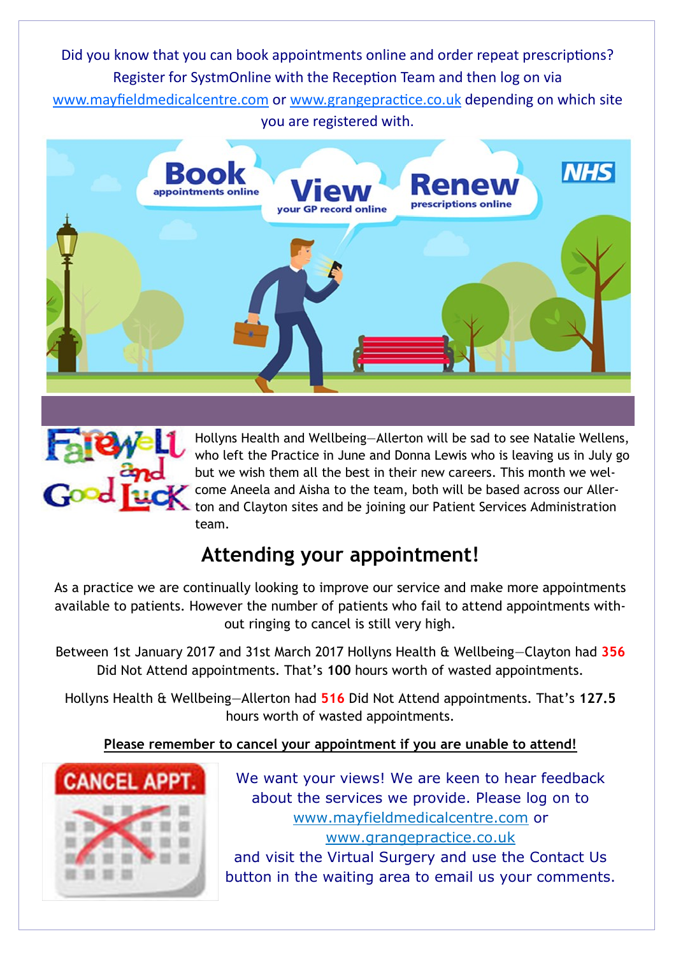Did you know that you can book appointments online and order repeat prescriptions? Register for SystmOnline with the Reception Team and then log on via www.mayfieldmedicalcentre.com or www.grangepractice.co.uk depending on which site you are registered with.





Hollyns Health and Wellbeing—Allerton will be sad to see Natalie Wellens, who left the Practice in June and Donna Lewis who is leaving us in July go but we wish them all the best in their new careers. This month we welcome Aneela and Aisha to the team, both will be based across our Allerton and Clayton sites and be joining our Patient Services Administration team.

# **Attending your appointment!**

As a practice we are continually looking to improve our service and make more appointments available to patients. However the number of patients who fail to attend appointments without ringing to cancel is still very high.

Between 1st January 2017 and 31st March 2017 Hollyns Health & Wellbeing—Clayton had **356** Did Not Attend appointments. That's **100** hours worth of wasted appointments.

Hollyns Health & Wellbeing—Allerton had **516** Did Not Attend appointments. That's **127.5** hours worth of wasted appointments.

### **Please remember to cancel your appointment if you are unable to attend!**



We want your views! We are keen to hear feedback about the services we provide. Please log on to www.mayfieldmedicalcentre.com or www.grangepractice.co.uk and visit the Virtual Surgery and use the Contact Us

button in the waiting area to email us your comments.